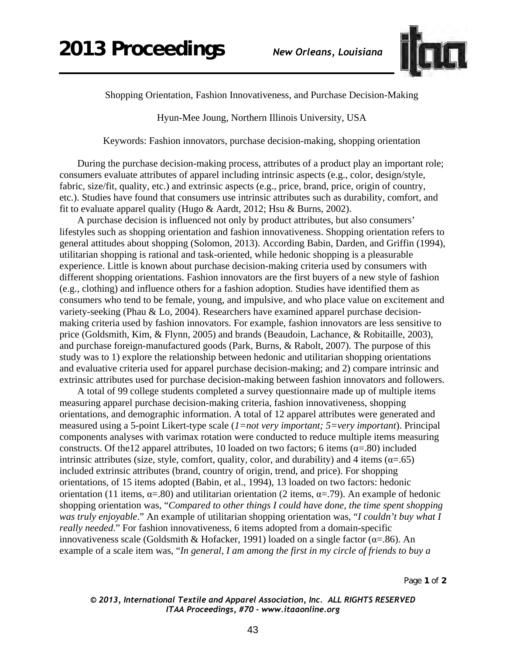

Shopping Orientation, Fashion Innovativeness, and Purchase Decision-Making

Hyun-Mee Joung, Northern Illinois University, USA

Keywords: Fashion innovators, purchase decision-making, shopping orientation

During the purchase decision-making process, attributes of a product play an important role; consumers evaluate attributes of apparel including intrinsic aspects (e.g., color, design/style, fabric, size/fit, quality, etc.) and extrinsic aspects (e.g., price, brand, price, origin of country, etc.). Studies have found that consumers use intrinsic attributes such as durability, comfort, and fit to evaluate apparel quality (Hugo & Aardt, 2012; Hsu & Burns, 2002).

A purchase decision is influenced not only by product attributes, but also consumers' lifestyles such as shopping orientation and fashion innovativeness. Shopping orientation refers to general attitudes about shopping (Solomon, 2013). According Babin, Darden, and Griffin (1994), utilitarian shopping is rational and task-oriented, while hedonic shopping is a pleasurable experience. Little is known about purchase decision-making criteria used by consumers with different shopping orientations. Fashion innovators are the first buyers of a new style of fashion (e.g., clothing) and influence others for a fashion adoption. Studies have identified them as consumers who tend to be female, young, and impulsive, and who place value on excitement and variety-seeking (Phau & Lo, 2004). Researchers have examined apparel purchase decisionmaking criteria used by fashion innovators. For example, fashion innovators are less sensitive to price (Goldsmith, Kim, & Flynn, 2005) and brands (Beaudoin, Lachance, & Robitaille, 2003), and purchase foreign-manufactured goods (Park, Burns, & Rabolt, 2007). The purpose of this study was to 1) explore the relationship between hedonic and utilitarian shopping orientations and evaluative criteria used for apparel purchase decision-making; and 2) compare intrinsic and extrinsic attributes used for purchase decision-making between fashion innovators and followers.

A total of 99 college students completed a survey questionnaire made up of multiple items measuring apparel purchase decision-making criteria, fashion innovativeness, shopping orientations, and demographic information. A total of 12 apparel attributes were generated and measured using a 5-point Likert-type scale (*1=not very important; 5=very important*). Principal components analyses with varimax rotation were conducted to reduce multiple items measuring constructs. Of the12 apparel attributes, 10 loaded on two factors; 6 items  $(\alpha = .80)$  included intrinsic attributes (size, style, comfort, quality, color, and durability) and 4 items ( $\alpha$ =.65) included extrinsic attributes (brand, country of origin, trend, and price). For shopping orientations, of 15 items adopted (Babin, et al., 1994), 13 loaded on two factors: hedonic orientation (11 items,  $\alpha = 0.80$ ) and utilitarian orientation (2 items,  $\alpha = 0.79$ ). An example of hedonic shopping orientation was, "*Compared to other things I could have done, the time spent shopping was truly enjoyable*." An example of utilitarian shopping orientation was, "*I couldn't buy what I really needed*." For fashion innovativeness, 6 items adopted from a domain-specific innovativeness scale (Goldsmith & Hofacker, 1991) loaded on a single factor ( $\alpha$ =.86). An example of a scale item was, "*In general, I am among the first in my circle of friends to buy a* 

Page **1** of **2** 

*© 2013, International Textile and Apparel Association, Inc. ALL RIGHTS RESERVED ITAA Proceedings, #70 – www.itaaonline.org*